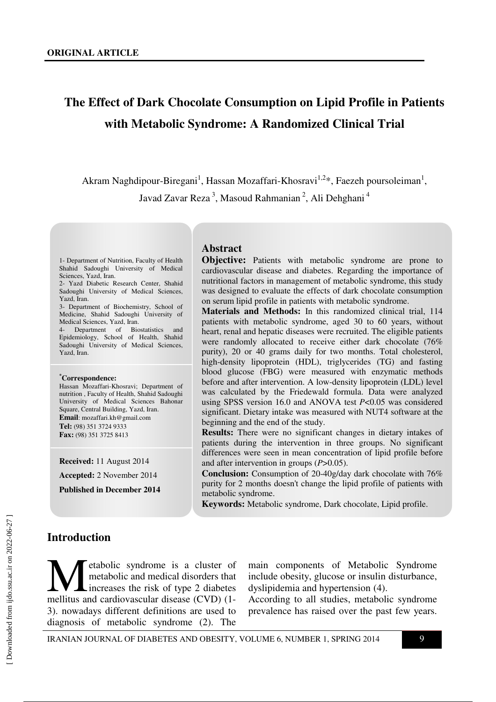# **The Effect of Dark Chocolate Consumption on Lipid Profile in Patients with Metabolic Syndrome: A Randomized Clinical Trial**

Akram Naghdipour-Biregani<sup>1</sup>, Hassan Mozaffari-Khosravi<sup>1,2</sup>\*, Faezeh poursoleiman<sup>1</sup>, Javad Zavar Reza<sup>3</sup>, Masoud Rahmanian<sup>2</sup>, Ali Dehghani<sup>4</sup>

1- Department of Nutrition, Faculty of Health Shahid Sadoughi University of Medical Sciences, Yazd, Iran.

2- Yazd Diabetic Research Center, Shahid Sadoughi University of Medical Sciences, Yazd, Iran.

3- Department of Biochemistry, School of Medicine, Shahid Sadoughi University of Medical Sciences, Yazd, Iran.

Department of Biostatistics and Epidemiology, School of Health, Shahid Sadoughi University of Medical Sciences, Yazd, Iran.

#### **\*Correspondence:**

Hassan Mozaffari-Khosravi; Department of nutrition , Faculty of Health, Shahid Sadoughi University of Medical Sciences Bahonar Square, Central Building, Yazd, Iran. **Email**: mozaffari.kh@gmail.com **Tel:** (98) 351 3724 9333 **Fax:** (98) 351 3725 8413

**Received:** 11 August 2014

**Accepted:** 2 November 2014

**Published in December 2014** 

### **Abstract**

**Objective:** Patients with metabolic syndrome are prone to cardiovascular disease and diabetes. Regarding the importance of nutritional factors in management of metabolic syndrome, this study was designed to evaluate the effects of dark chocolate consumption on serum lipid profile in patients with metabolic syndrome.

**Materials and Methods:** In this randomized clinical trial, 114 patients with metabolic syndrome, aged 30 to 60 years, without heart, renal and hepatic diseases were recruited. The eligible patients were randomly allocated to receive either dark chocolate (76% purity), 20 or 40 grams daily for two months. Total cholesterol, high-density lipoprotein (HDL), triglycerides (TG) and fasting blood glucose (FBG) were measured with enzymatic methods before and after intervention. A low-density lipoprotein (LDL) level was calculated by the Friedewald formula. Data were analyzed using SPSS version 16.0 and ANOVA test *P*<0.05 was considered significant. Dietary intake was measured with NUT4 software at the beginning and the end of the study.

**Results:** There were no significant changes in dietary intakes of patients during the intervention in three groups. No significant differences were seen in mean concentration of lipid profile before and after intervention in groups (*P*>0.05).

**Conclusion:** Consumption of 20-40g/day dark chocolate with 76% purity for 2 months doesn't change the lipid profile of patients with metabolic syndrome.

**Keywords:** Metabolic syndrome, Dark chocolate, Lipid profile.

#### **Introduction**

etabolic syndrome is a cluster of metabolic and medical disorders that increases the risk of type 2 diabetes **M**etabolic syndrome is a cluster of metabolic and medical disorders that increases the risk of type 2 diabetes mellitus and cardiovascular disease (CVD) (1-3). nowadays different definitions are used to diagnosis of metabolic syndrome (2). The

main components of Metabolic Syndrome include obesity, glucose or insulin disturbance, dyslipidemia and hypertension (4).

According to all studies, metabolic syndrome prevalence has raised over the past few years.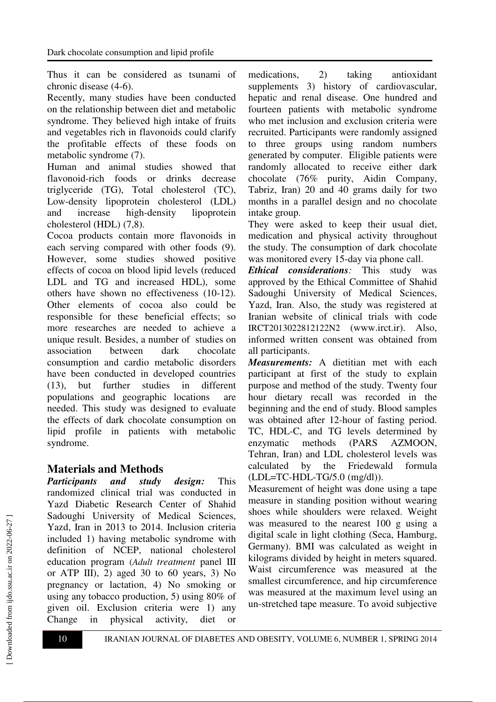Thus it can be considered as tsunami of chronic disease (4-6).

Recently, many studies have been conducted on the relationship between diet and metabolic syndrome. They believed high intake of fruits and vegetables rich in flavonoids could clarify the profitable effects of these foods on metabolic syndrome (7).

Human and animal studies showed that flavonoid-rich foods or drinks decrease triglyceride (TG), Total cholesterol (TC), Low-density lipoprotein cholesterol (LDL) and increase high-density lipoprotein cholesterol (HDL) (7,8).

Cocoa products contain more flavonoids in each serving compared with other foods (9). However, some studies showed positive effects of cocoa on blood lipid levels (reduced LDL and TG and increased HDL), some others have shown no effectiveness (10-12). Other elements of cocoa also could be responsible for these beneficial effects; so more researches are needed to achieve a unique result. Besides, a number of studies on association between dark chocolate consumption and cardio metabolic disorders have been conducted in developed countries (13), but further studies in different populations and geographic locations are needed. This study was designed to evaluate the effects of dark chocolate consumption on lipid profile in patients with metabolic syndrome.

## **Materials and Methods**

*Participants and study design:* This randomized clinical trial was conducted in Yazd Diabetic Research Center of Shahid Sadoughi University of Medical Sciences, Yazd, Iran in 2013 to 2014. Inclusion criteria included 1) having metabolic syndrome with definition of NCEP, national cholesterol education program (*Adult treatment* panel III or ATP III), 2) aged 30 to 60 years, 3) No pregnancy or lactation, 4) No smoking or using any tobacco production, 5) using 80% of given oil. Exclusion criteria were 1) any Change in physical activity, diet or medications, 2) taking antioxidant supplements 3) history of cardiovascular, hepatic and renal disease. One hundred and fourteen patients with metabolic syndrome who met inclusion and exclusion criteria were recruited. Participants were randomly assigned to three groups using random numbers generated by computer. Eligible patients were randomly allocated to receive either dark chocolate (76% purity, Aidin Company, Tabriz, Iran) 20 and 40 grams daily for two months in a parallel design and no chocolate intake group.

They were asked to keep their usual diet, medication and physical activity throughout the study. The consumption of dark chocolate was monitored every 15-day via phone call.

*Ethical considerations:* This study was approved by the Ethical Committee of Shahid Sadoughi University of Medical Sciences, Yazd, Iran. Also, the study was registered at Iranian website of clinical trials with code IRCT2013022812122N2 (www.irct.ir). Also, informed written consent was obtained from all participants.

*Measurements:* A dietitian met with each participant at first of the study to explain purpose and method of the study. Twenty four hour dietary recall was recorded in the beginning and the end of study. Blood samples was obtained after 12-hour of fasting period. TC, HDL-C, and TG levels determined by enzymatic methods (PARS AZMOON, Tehran, Iran) and LDL cholesterol levels was calculated by the Friedewald formula (LDL=TC-HDL-TG/5.0 (mg/dl)).

Measurement of height was done using a tape measure in standing position without wearing shoes while shoulders were relaxed. Weight was measured to the nearest 100 g using a digital scale in light clothing (Seca, Hamburg, Germany). BMI was calculated as weight in kilograms divided by height in meters squared. Waist circumference was measured at the smallest circumference, and hip circumference was measured at the maximum level using an un-stretched tape measure. To avoid subjective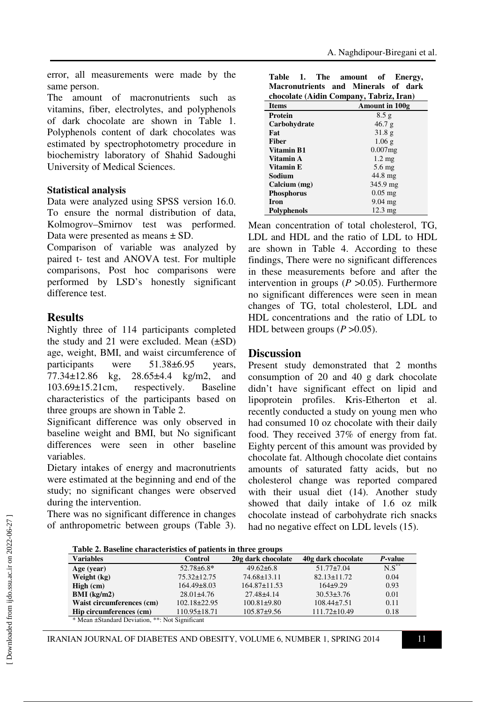error, all measurements were made by the same person.

The amount of macronutrients such as vitamins, fiber, electrolytes, and polyphenols of dark chocolate are shown in Table 1. Polyphenols content of dark chocolates was estimated by spectrophotometry procedure in biochemistry laboratory of Shahid Sadoughi University of Medical Sciences.

#### **Statistical analysis**

Data were analyzed using SPSS version 16.0. To ensure the normal distribution of data, Kolmogrov–Smirnov test was performed. Data were presented as means ± SD.

Comparison of variable was analyzed by paired t- test and ANOVA test. For multiple comparisons, Post hoc comparisons were performed by LSD's honestly significant difference test.

## **Results**

Nightly three of 114 participants completed the study and 21 were excluded. Mean  $(\pm SD)$ age, weight, BMI, and waist circumference of participants were 51.38±6.95 years, 77.34±12.86 kg, 28.65±4.4 kg/m2, and 103.69±15.21cm, respectively. Baseline characteristics of the participants based on three groups are shown in Table 2.

Significant difference was only observed in baseline weight and BMI, but No significant differences were seen in other baseline variables.

Dietary intakes of energy and macronutrients were estimated at the beginning and end of the study; no significant changes were observed during the intervention.

There was no significant difference in changes of anthropometric between groups (Table 3).

| Table<br>1.       | The amount<br>of<br>Energy,             |  |  |  |  |  |
|-------------------|-----------------------------------------|--|--|--|--|--|
|                   | Macronutrients and Minerals of dark     |  |  |  |  |  |
|                   | chocolate (Aidin Company, Tabriz, Iran) |  |  |  |  |  |
| <b>Items</b>      | Amount in 100g                          |  |  |  |  |  |
| Protein           | 8.5 g                                   |  |  |  |  |  |
| Carbohydrate      | 46.7 g                                  |  |  |  |  |  |
| Fat               | 31.8 <sub>g</sub>                       |  |  |  |  |  |
| Fiber             | $1.06$ g                                |  |  |  |  |  |
| Vitamin B1        | $0.007$ mg                              |  |  |  |  |  |
| Vitamin A         | $1.2 \text{ mg}$                        |  |  |  |  |  |
| Vitamin E         | $5.6 \text{ mg}$                        |  |  |  |  |  |
| Sodium            | $44.8 \text{ mg}$                       |  |  |  |  |  |
| Calcium (mg)      | $345.9 \text{ mg}$                      |  |  |  |  |  |
| <b>Phosphorus</b> | $0.05$ mg                               |  |  |  |  |  |
| Iron              | $9.04$ mg                               |  |  |  |  |  |
| Polyphenols       | $12.3 \text{ mg}$                       |  |  |  |  |  |

Mean concentration of total cholesterol, TG, LDL and HDL and the ratio of LDL to HDL are shown in Table 4. According to these findings, There were no significant differences in these measurements before and after the intervention in groups  $(P > 0.05)$ . Furthermore no significant differences were seen in mean changes of TG, total cholesterol, LDL and HDL concentrations and the ratio of LDL to HDL between groups  $(P > 0.05)$ .

### **Discussion**

Present study demonstrated that 2 months consumption of 20 and 40 g dark chocolate didn't have significant effect on lipid and lipoprotein profiles. Kris-Etherton et al. recently conducted a study on young men who had consumed 10 oz chocolate with their daily food. They received 37% of energy from fat. Eighty percent of this amount was provided by chocolate fat. Although chocolate diet contains amounts of saturated fatty acids, but no cholesterol change was reported compared with their usual diet (14). Another study showed that daily intake of 1.6 oz milk chocolate instead of carbohydrate rich snacks had no negative effect on LDL levels (15).

|  | Table 2. Baseline characteristics of patients in three groups |  |  |  |
|--|---------------------------------------------------------------|--|--|--|
|  |                                                               |  |  |  |

| Tuoit 2: Duothne enurutteriotto of putrento in three groups |                    |                    |                    |            |  |  |  |
|-------------------------------------------------------------|--------------------|--------------------|--------------------|------------|--|--|--|
| <b>Variables</b>                                            | <b>Control</b>     | 20g dark chocolate | 40g dark chocolate | P-value    |  |  |  |
| Age (year)                                                  | $52.78 \pm 6.8^*$  | $49.62\pm 6.8$     | $51.77 \pm 7.04$   | $N.S^{**}$ |  |  |  |
| Weight (kg)                                                 | $75.32 \pm 12.75$  | $74.68 \pm 13.11$  | $82.13 \pm 11.72$  | 0.04       |  |  |  |
| High (cm)                                                   | $164.49\pm8.03$    | $164.87 \pm 11.53$ | $164+9.29$         | 0.93       |  |  |  |
| $BMI$ (kg/m2)                                               | $28.01\pm4.76$     | $27.48 \pm 4.14$   | $30.53 \pm 3.76$   | 0.01       |  |  |  |
| Waist circumferences (cm)                                   | $102.18 \pm 22.95$ | $100.81 \pm 9.80$  | $108.44 \pm 7.51$  | 0.11       |  |  |  |
| Hip circumferences (cm)                                     | $110.95 \pm 18.71$ | $105.87+9.56$      | $111.72 \pm 10.49$ | 0.18       |  |  |  |
| * Mean ±Standard Deviation, **: Not Significant             |                    |                    |                    |            |  |  |  |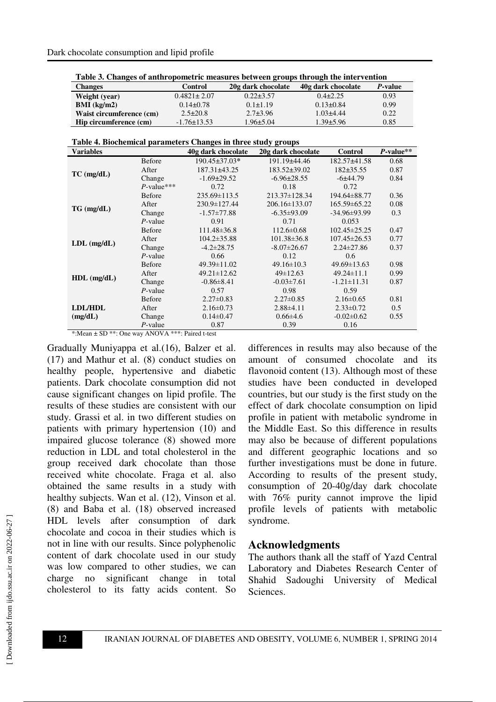| Table 5. Changes of antih opometric incasures between groups through the micr vention |                   |                    |                    |                 |  |  |
|---------------------------------------------------------------------------------------|-------------------|--------------------|--------------------|-----------------|--|--|
| <b>Changes</b>                                                                        | Control           | 20g dark chocolate | 40g dark chocolate | <i>P</i> -value |  |  |
| Weight (year)                                                                         | $0.4821 \pm 2.07$ | $0.22 \pm 3.57$    | $0.4\pm 2.25$      | 0.93            |  |  |
| $BMI$ (kg/m2)                                                                         | $0.14\pm0.78$     | $0.1 \pm 1.19$     | $0.13 \pm 0.84$    | 0.99            |  |  |
| Waist circumference (cm)                                                              | $2.5 \pm 20.8$    | $2.7 + 3.96$       | $1.03 + 4.44$      | 0.22            |  |  |
| Hip circumference (cm)                                                                | $-1.76 \pm 13.53$ | $1.96 \pm 5.04$    | $1.39 \pm 5.96$    | 0.85            |  |  |

**Table 3. Changes of anthropometric measures between groups through the intervention** 

| Table 4. Biochemical parameters Changes in three study groups |  |  |  |
|---------------------------------------------------------------|--|--|--|
|                                                               |  |  |  |

| <b>Variables</b> |               | 40g dark chocolate | 20g dark chocolate  | <b>Control</b>     | $P$ -value** |
|------------------|---------------|--------------------|---------------------|--------------------|--------------|
|                  | <b>Before</b> | 190.45±37.03*      | 191.19±44.46        | 182.57±41.58       | 0.68         |
|                  | After         | 187.31±43.25       | $183.52 \pm 39.02$  | $182+35.55$        | 0.87         |
| $TC$ (mg/dL)     | Change        | $-1.69 \pm 29.52$  | $-6.96 \pm 28.55$   | $-6±44.79$         | 0.84         |
|                  | $P$ -value*** | 0.72               | 0.18                | 0.72               |              |
|                  | <b>Before</b> | $235.69 \pm 113.5$ | $213.37 \pm 128.34$ | 194.64±88.77       | 0.36         |
| $TG$ (mg/dL)     | After         | 230.9±127.44       | 206.16±133.07       | $165.59\pm 65.22$  | 0.08         |
|                  | Change        | $-1.57 \pm 77.88$  | $-6.35\pm93.09$     | $-34.96 \pm 93.99$ | 0.3          |
|                  | $P$ -value    | 0.91               | 0.71                | 0.053              |              |
|                  | <b>Before</b> | $111.48 \pm 36.8$  | $112.6 \pm 0.68$    | $102.45 \pm 25.25$ | 0.47         |
| $LDL$ (mg/dL)    | After         | $104.2 \pm 35.88$  | $101.38 \pm 36.8$   | $107.45 \pm 26.53$ | 0.77         |
|                  | Change        | $-4.2 \pm 28.75$   | $-8.07 \pm 26.67$   | $2.24 \pm 27.86$   | 0.37         |
|                  | $P$ -value    | 0.66               | 0.12                | 0.6                |              |
|                  | <b>Before</b> | 49.39±11.02        | $49.16 \pm 10.3$    | $49.69 \pm 13.63$  | 0.98         |
| $HDL$ (mg/dL)    | After         | $49.21 \pm 12.62$  | $49 \pm 12.63$      | $49.24 \pm 11.1$   | 0.99         |
|                  | Change        | $-0.86 \pm 8.41$   | $-0.03 \pm 7.61$    | $-1.21 \pm 11.31$  | 0.87         |
|                  | $P$ -value    | 0.57               | 0.98                | 0.59               |              |
|                  | <b>Before</b> | $2.27 \pm 0.83$    | $2.27 \pm 0.85$     | $2.16\pm0.65$      | 0.81         |
| <b>LDL/HDL</b>   | After         | $2.16 \pm 0.73$    | $2.88\pm4.11$       | $2.33 \pm 0.72$    | 0.5          |
| (mg/dL)          | Change        | $0.14 \pm 0.47$    | $0.66\pm4.6$        | $-0.02 \pm 0.62$   | 0.55         |
|                  | $P$ -value    | 0.87               | 0.39                | 0.16               |              |

\*:Mean ± SD \*\*: One way ANOVA \*\*\*: Paired t-test

Gradually Muniyappa et al.(16), Balzer et al. (17) and Mathur et al. (8) conduct studies on healthy people, hypertensive and diabetic patients. Dark chocolate consumption did not cause significant changes on lipid profile. The results of these studies are consistent with our study. Grassi et al. in two different studies on patients with primary hypertension (10) and impaired glucose tolerance (8) showed more reduction in LDL and total cholesterol in the group received dark chocolate than those received white chocolate. Fraga et al. also obtained the same results in a study with healthy subjects. Wan et al. (12), Vinson et al. (8) and Baba et al. (18) observed increased HDL levels after consumption of dark chocolate and cocoa in their studies which is not in line with our results. Since polyphenolic content of dark chocolate used in our study was low compared to other studies, we can charge no significant change in total cholesterol to its fatty acids content. So differences in results may also because of the amount of consumed chocolate and its flavonoid content (13). Although most of these studies have been conducted in developed countries, but our study is the first study on the effect of dark chocolate consumption on lipid profile in patient with metabolic syndrome in the Middle East. So this difference in results may also be because of different populations and different geographic locations and so further investigations must be done in future. According to results of the present study, consumption of 20-40g/day dark chocolate with 76% purity cannot improve the lipid profile levels of patients with metabolic syndrome.

### **Acknowledgments**

The authors thank all the staff of Yazd Central Laboratory and Diabetes Research Center of Shahid Sadoughi University of Medical Sciences.